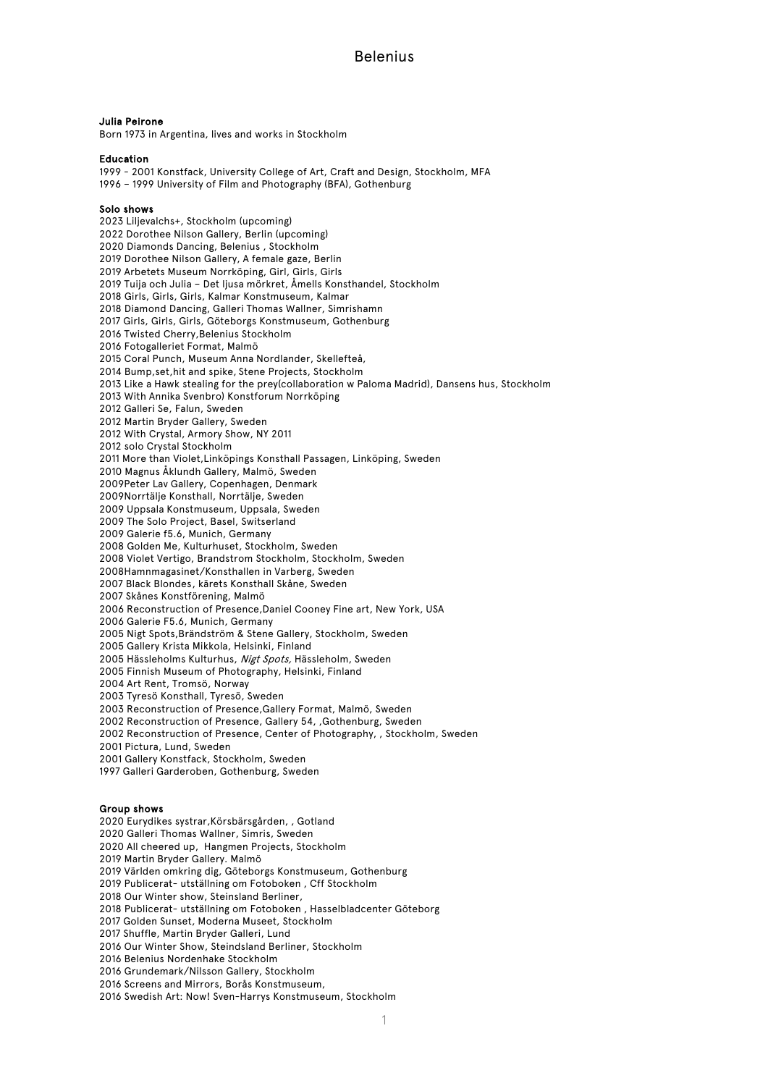#### Julia Peirone

Born 1973 in Argentina, lives and works in Stockholm

#### Education

1999 - 2001 Konstfack, University College of Art, Craft and Design, Stockholm, MFA 1996 – 1999 University of Film and Photography (BFA), Gothenburg

#### Solo shows

 Liljevalchs+, Stockholm (upcoming) Dorothee Nilson Gallery, Berlin (upcoming) Diamonds Dancing, Belenius , Stockholm Dorothee Nilson Gallery, A female gaze, Berlin Arbetets Museum Norrköping, Girl, Girls, Girls Tuija och Julia – Det ljusa mörkret, Åmells Konsthandel, Stockholm Girls, Girls, Girls, Kalmar Konstmuseum, Kalmar Diamond Dancing, Galleri Thomas Wallner, Simrishamn Girls, Girls, Girls, Göteborgs Konstmuseum, Gothenburg Twisted Cherry,Belenius Stockholm Fotogalleriet Format, Malmö Coral Punch, Museum Anna Nordlander, Skellefteå, Bump,set,hit and spike, Stene Projects, Stockholm Like a Hawk stealing for the prey(collaboration w Paloma Madrid), Dansens hus, Stockholm With Annika Svenbro) Konstforum Norrköping Galleri Se, Falun, Sweden Martin Bryder Gallery, Sweden With Crystal, Armory Show, NY 2011 solo Crystal Stockholm More than Violet,Linköpings Konsthall Passagen, Linköping, Sweden Magnus Åklundh Gallery, Malmö, Sweden 2009Peter Lav Gallery, Copenhagen, Denmark 2009Norrtälje Konsthall, Norrtälje, Sweden 2009 Uppsala Konstmuseum, Uppsala, Sweden The Solo Project, Basel, Switserland Galerie f5.6, Munich, Germany Golden Me, Kulturhuset, Stockholm, Sweden Violet Vertigo, Brandstrom Stockholm, Stockholm, Sweden 2008Hamnmagasinet/Konsthallen in Varberg, Sweden Black Blondes, kärets Konsthall Skåne, Sweden Skånes Konstförening, Malmö Reconstruction of Presence,Daniel Cooney Fine art, New York, USA Galerie F5.6, Munich, Germany Nigt Spots,Brändström & Stene Gallery, Stockholm, Sweden Gallery Krista Mikkola, Helsinki, Finland 2005 Hässleholms Kulturhus, Nigt Spots, Hässleholm, Sweden Finnish Museum of Photography, Helsinki, Finland Art Rent, Tromsö, Norway Tyresö Konsthall, Tyresö, Sweden Reconstruction of Presence,Gallery Format, Malmö, Sweden Reconstruction of Presence, Gallery 54, ,Gothenburg, Sweden Reconstruction of Presence, Center of Photography, , Stockholm, Sweden Pictura, Lund, Sweden Gallery Konstfack, Stockholm, Sweden Galleri Garderoben, Gothenburg, Sweden

### Group shows

Eurydikes systrar,Körsbärsgården, , Gotland

Galleri Thomas Wallner, Simris, Sweden

All cheered up, Hangmen Projects, Stockholm

Martin Bryder Gallery. Malmö

Världen omkring dig, Göteborgs Konstmuseum, Gothenburg

Publicerat- utställning om Fotoboken , Cff Stockholm

Our Winter show, Steinsland Berliner,

Publicerat- utställning om Fotoboken , Hasselbladcenter Göteborg

Golden Sunset, Moderna Museet, Stockholm

Shuffle, Martin Bryder Galleri, Lund

Our Winter Show, Steindsland Berliner, Stockholm

Belenius Nordenhake Stockholm

Grundemark/Nilsson Gallery, Stockholm

Screens and Mirrors, Borås Konstmuseum,

Swedish Art: Now! Sven-Harrys Konstmuseum, Stockholm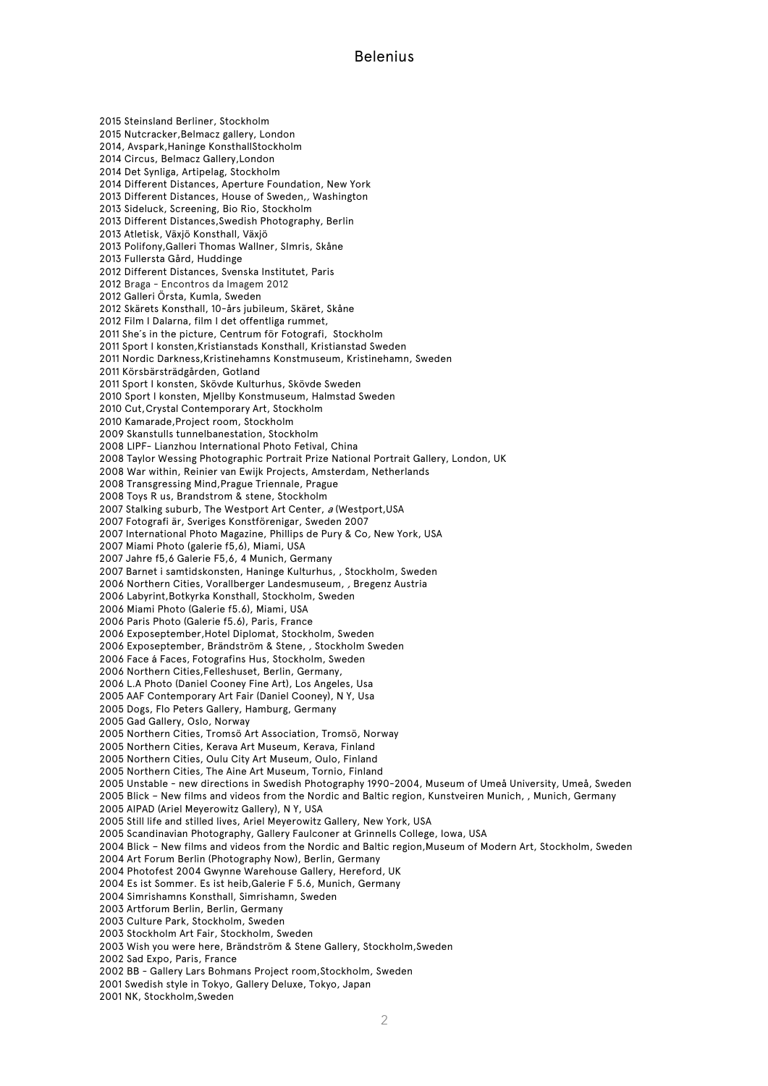Steinsland Berliner, Stockholm Nutcracker,Belmacz gallery, London 2014, Avspark,Haninge KonsthallStockholm Circus, Belmacz Gallery,London Det Synliga, Artipelag, Stockholm Different Distances, Aperture Foundation, New York Different Distances, House of Sweden,, Washington Sideluck, Screening, Bio Rio, Stockholm Different Distances,Swedish Photography, Berlin Atletisk, Växjö Konsthall, Växjö Polifony,Galleri Thomas Wallner, SImris, Skåne Fullersta Gård, Huddinge Different Distances, Svenska Institutet, Paris Braga - Encontros da Imagem 2012 Galleri Örsta, Kumla, Sweden Skärets Konsthall, 10-års jubileum, Skäret, Skåne Film I Dalarna, film I det offentliga rummet, She´s in the picture, Centrum för Fotografi, Stockholm Sport I konsten,Kristianstads Konsthall, Kristianstad Sweden Nordic Darkness,Kristinehamns Konstmuseum, Kristinehamn, Sweden Körsbärsträdgården, Gotland Sport I konsten, Skövde Kulturhus, Skövde Sweden Sport I konsten, Mjellby Konstmuseum, Halmstad Sweden Cut,Crystal Contemporary Art, Stockholm Kamarade,Project room, Stockholm Skanstulls tunnelbanestation, Stockholm LIPF- Lianzhou International Photo Fetival, China Taylor Wessing Photographic Portrait Prize National Portrait Gallery, London, UK War within, Reinier van Ewijk Projects, Amsterdam, Netherlands 2008 Transgressing Mind,Prague Triennale, Prague Toys R us, Brandstrom & stene, Stockholm 2007 Stalking suburb, The Westport Art Center, a (Westport, USA Fotografi är, Sveriges Konstförenigar, Sweden 2007 International Photo Magazine, Phillips de Pury & Co, New York, USA Miami Photo (galerie f5,6), Miami, USA Jahre f5,6 Galerie F5,6, 4 Munich, Germany Barnet i samtidskonsten, Haninge Kulturhus, , Stockholm, Sweden Northern Cities, Vorallberger Landesmuseum, , Bregenz Austria Labyrint,Botkyrka Konsthall, Stockholm, Sweden Miami Photo (Galerie f5.6), Miami, USA Paris Photo (Galerie f5.6), Paris, France Exposeptember,Hotel Diplomat, Stockholm, Sweden Exposeptember, Brändström & Stene, , Stockholm Sweden Face á Faces, Fotografins Hus, Stockholm, Sweden Northern Cities,Felleshuset, Berlin, Germany, L.A Photo (Daniel Cooney Fine Art), Los Angeles, Usa AAF Contemporary Art Fair (Daniel Cooney), N Y, Usa Dogs, Flo Peters Gallery, Hamburg, Germany Gad Gallery, Oslo, Norway Northern Cities, Tromsö Art Association, Tromsö, Norway Northern Cities, Kerava Art Museum, Kerava, Finland Northern Cities, Oulu City Art Museum, Oulo, Finland Northern Cities, The Aine Art Museum, Tornio, Finland Unstable - new directions in Swedish Photography 1990-2004, Museum of Umeå University, Umeå, Sweden Blick – New films and videos from the Nordic and Baltic region, Kunstveiren Munich, , Munich, Germany AIPAD (Ariel Meyerowitz Gallery), N Y, USA Still life and stilled lives, Ariel Meyerowitz Gallery, New York, USA 2005 Scandinavian Photography, Gallery Faulconer at Grinnells College, Iowa, USA Blick – New films and videos from the Nordic and Baltic region,Museum of Modern Art, Stockholm, Sweden Art Forum Berlin (Photography Now), Berlin, Germany Photofest 2004 Gwynne Warehouse Gallery, Hereford, UK Es ist Sommer. Es ist heib,Galerie F 5.6, Munich, Germany Simrishamns Konsthall, Simrishamn, Sweden Artforum Berlin, Berlin, Germany Culture Park, Stockholm, Sweden Stockholm Art Fair, Stockholm, Sweden Wish you were here, Brändström & Stene Gallery, Stockholm,Sweden Sad Expo, Paris, France BB - Gallery Lars Bohmans Project room,Stockholm, Sweden Swedish style in Tokyo, Gallery Deluxe, Tokyo, Japan

NK, Stockholm,Sweden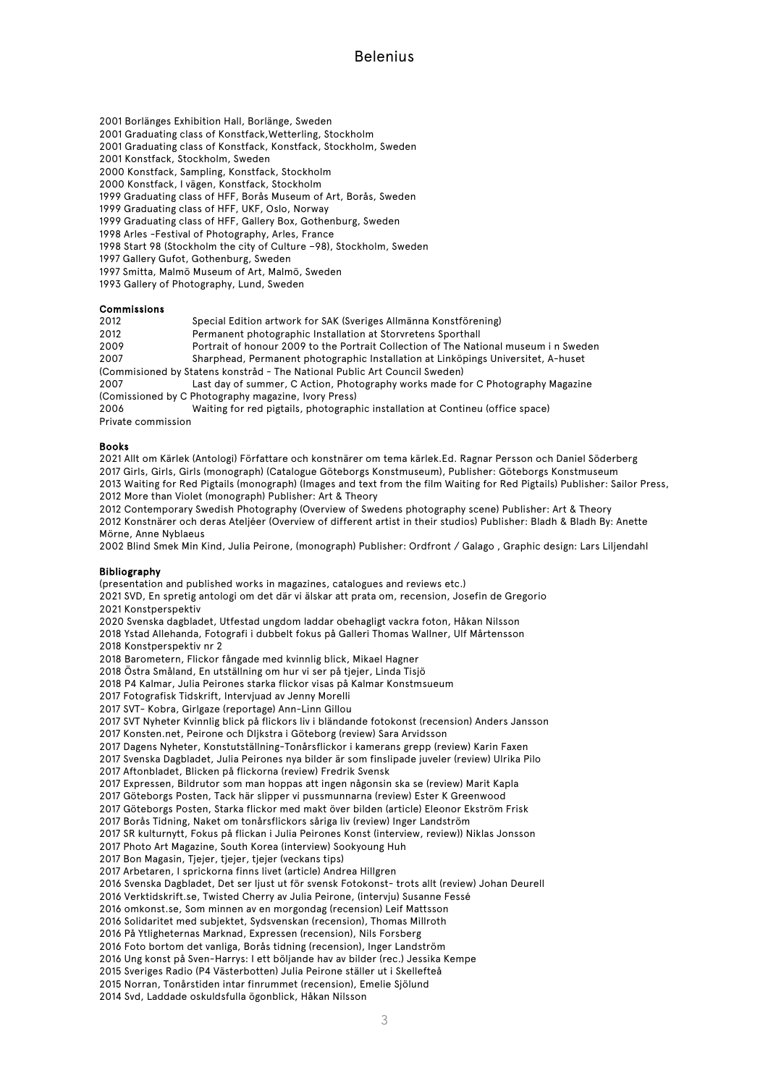Borlänges Exhibition Hall, Borlänge, Sweden

Graduating class of Konstfack,Wetterling, Stockholm

Graduating class of Konstfack, Konstfack, Stockholm, Sweden

Konstfack, Stockholm, Sweden

Konstfack, Sampling, Konstfack, Stockholm

Konstfack, I vägen, Konstfack, Stockholm

1999 Graduating class of HFF, Borås Museum of Art, Borås, Sweden

Graduating class of HFF, UKF, Oslo, Norway

Graduating class of HFF, Gallery Box, Gothenburg, Sweden

Arles -Festival of Photography, Arles, France

Start 98 (Stockholm the city of Culture –98), Stockholm, Sweden

Gallery Gufot, Gothenburg, Sweden

Smitta, Malmö Museum of Art, Malmö, Sweden

Gallery of Photography, Lund, Sweden

### Commissions

Special Edition artwork for SAK (Sveriges Allmänna Konstförening)

Permanent photographic Installation at Storvretens Sporthall

2009 Portrait of honour 2009 to the Portrait Collection of The National museum in Sweden<br>2007 Sharphead Permanent photographic Installation at Linköpings Universitet A-huset

Sharphead, Permanent photographic Installation at Linköpings Universitet, A-huset

(Commisioned by Statens konstråd - The National Public Art Council Sweden)

 Last day of summer, C Action, Photography works made for C Photography Magazine (Comissioned by C Photography magazine, Ivory Press)

 Waiting for red pigtails, photographic installation at Contineu (office space) Private commission

### Books

 Allt om Kärlek (Antologi) Författare och konstnärer om tema kärlek.Ed. Ragnar Persson och Daniel Söderberg Girls, Girls, Girls (monograph) (Catalogue Göteborgs Konstmuseum), Publisher: Göteborgs Konstmuseum Waiting for Red Pigtails (monograph) (Images and text from the film Waiting for Red Pigtails) Publisher: Sailor Press, More than Violet (monograph) Publisher: Art & Theory

 Contemporary Swedish Photography (Overview of Swedens photography scene) Publisher: Art & Theory 2012 Konstnärer och deras Ateljéer (Overview of different artist in their studios) Publisher: Bladh & Bladh By: Anette Mörne, Anne Nyblaeus

Blind Smek Min Kind, Julia Peirone, (monograph) Publisher: Ordfront / Galago , Graphic design: Lars Liljendahl

### Bibliography

(presentation and published works in magazines, catalogues and reviews etc.) SVD, En spretig antologi om det där vi älskar att prata om, recension, Josefin de Gregorio Konstperspektiv Svenska dagbladet, Utfestad ungdom laddar obehagligt vackra foton, Håkan Nilsson Ystad Allehanda, Fotografi i dubbelt fokus på Galleri Thomas Wallner, Ulf Mårtensson Konstperspektiv nr 2 Barometern, Flickor fångade med kvinnlig blick, Mikael Hagner Östra Småland, En utställning om hur vi ser på tjejer, Linda Tisjö P4 Kalmar, Julia Peirones starka flickor visas på Kalmar Konstmsueum 2017 Fotografisk Tidskrift, Intervjuad av Jenny Morelli SVT- Kobra, Girlgaze (reportage) Ann-Linn Gillou SVT Nyheter Kvinnlig blick på flickors liv i bländande fotokonst (recension) Anders Jansson 2017 Konsten.net, Peirone och DIjkstra i Göteborg (review) Sara Arvidsson Dagens Nyheter, Konstutställning-Tonårsflickor i kamerans grepp (review) Karin Faxen Svenska Dagbladet, Julia Peirones nya bilder är som finslipade juveler (review) Ulrika Pilo Aftonbladet, Blicken på flickorna (review) Fredrik Svensk Expressen, Bildrutor som man hoppas att ingen någonsin ska se (review) Marit Kapla Göteborgs Posten, Tack här slipper vi pussmunnarna (review) Ester K Greenwood Göteborgs Posten, Starka flickor med makt över bilden (article) Eleonor Ekström Frisk Borås Tidning, Naket om tonårsflickors såriga liv (review) Inger Landström SR kulturnytt, Fokus på flickan i Julia Peirones Konst (interview, review)) Niklas Jonsson Photo Art Magazine, South Korea (interview) Sookyoung Huh Bon Magasin, Tjejer, tjejer, tjejer (veckans tips) Arbetaren, I sprickorna finns livet (article) Andrea Hillgren Svenska Dagbladet, Det ser ljust ut för svensk Fotokonst- trots allt (review) Johan Deurell Verktidskrift.se, Twisted Cherry av Julia Peirone, (intervju) Susanne Fessé omkonst.se, Som minnen av en morgondag (recension) Leif Mattsson Solidaritet med subjektet, Sydsvenskan (recension), Thomas Millroth På Ytligheternas Marknad, Expressen (recension), Nils Forsberg Foto bortom det vanliga, Borås tidning (recension), Inger Landström Ung konst på Sven-Harrys: I ett böljande hav av bilder (rec.) Jessika Kempe 2015 Sveriges Radio (P4 Västerbotten) Julia Peirone ställer ut i Skellefteå Norran, Tonårstiden intar finrummet (recension), Emelie Sjölund Svd, Laddade oskuldsfulla ögonblick, Håkan Nilsson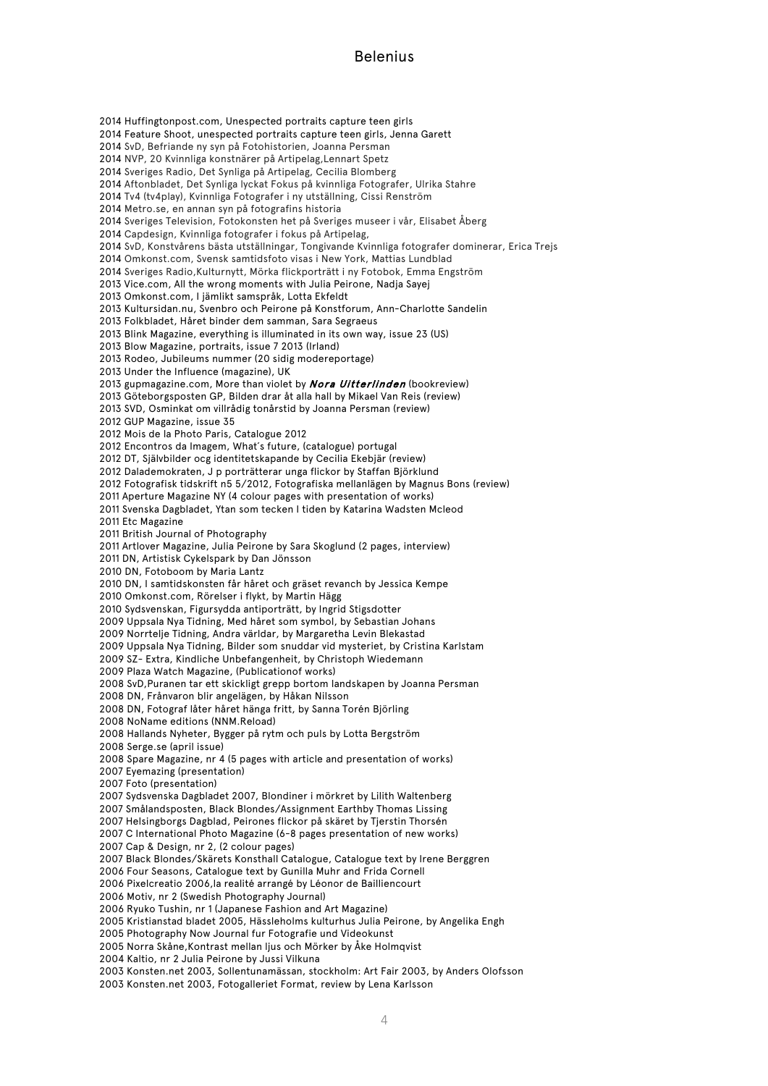Huffingtonpost.com, Unespected portraits capture teen girls Feature Shoot, unespected portraits capture teen girls, Jenna Garett SvD, Befriande ny syn på Fotohistorien, Joanna Persman NVP, 20 Kvinnliga konstnärer på Artipelag,Lennart Spetz Sveriges Radio, Det Synliga på Artipelag, Cecilia Blomberg Aftonbladet, Det Synliga lyckat Fokus på kvinnliga Fotografer, Ulrika Stahre Tv4 (tv4play), Kvinnliga Fotografer i ny utställning, Cissi Renström Metro.se, en annan syn på fotografins historia Sveriges Television, Fotokonsten het på Sveriges museer i vår, Elisabet Åberg Capdesign, Kvinnliga fotografer i fokus på Artipelag, SvD, Konstvårens bästa utställningar, Tongivande Kvinnliga fotografer dominerar, Erica Trejs Omkonst.com, Svensk samtidsfoto visas i New York, Mattias Lundblad Sveriges Radio,Kulturnytt, Mörka flickporträtt i ny Fotobok, Emma Engström Vice.com, All the wrong moments with Julia Peirone, Nadja Sayej Omkonst.com, I jämlikt samspråk, Lotta Ekfeldt Kultursidan.nu, Svenbro och Peirone på Konstforum, Ann-Charlotte Sandelin Folkbladet, Håret binder dem samman, Sara Segraeus Blink Magazine, everything is illuminated in its own way, issue 23 (US) Blow Magazine, portraits, issue 7 2013 (Irland) Rodeo, Jubileums nummer (20 sidig modereportage) Under the Influence (magazine), UK 2013 gupmagazine.com, More than violet by **Nora Uitterlinden** (bookreview) Göteborgsposten GP, Bilden drar åt alla hall by Mikael Van Reis (review) SVD, Osminkat om villrådig tonårstid by Joanna Persman (review) GUP Magazine, issue 35 Mois de la Photo Paris, Catalogue 2012 Encontros da Imagem, What´s future, (catalogue) portugal DT, Självbilder ocg identitetskapande by Cecilia Ekebjär (review) Dalademokraten, J p porträtterar unga flickor by Staffan Björklund Fotografisk tidskrift n5 5/2012, Fotografiska mellanlägen by Magnus Bons (review) Aperture Magazine NY (4 colour pages with presentation of works) Svenska Dagbladet, Ytan som tecken I tiden by Katarina Wadsten Mcleod Etc Magazine British Journal of Photography Artlover Magazine, Julia Peirone by Sara Skoglund (2 pages, interview) DN, Artistisk Cykelspark by Dan Jönsson DN, Fotoboom by Maria Lantz DN, I samtidskonsten får håret och gräset revanch by Jessica Kempe Omkonst.com, Rörelser i flykt, by Martin Hägg Sydsvenskan, Figursydda antiporträtt, by Ingrid Stigsdotter Uppsala Nya Tidning, Med håret som symbol, by Sebastian Johans Norrtelje Tidning, Andra världar, by Margaretha Levin Blekastad Uppsala Nya Tidning, Bilder som snuddar vid mysteriet, by Cristina Karlstam SZ- Extra, Kindliche Unbefangenheit, by Christoph Wiedemann Plaza Watch Magazine, (Publicationof works) SvD,Puranen tar ett skickligt grepp bortom landskapen by Joanna Persman DN, Frånvaron blir angelägen, by Håkan Nilsson DN, Fotograf låter håret hänga fritt, by Sanna Torén Björling NoName editions (NNM.Reload) Hallands Nyheter, Bygger på rytm och puls by Lotta Bergström Serge.se (april issue) Spare Magazine, nr 4 (5 pages with article and presentation of works) Eyemazing (presentation) Foto (presentation) Sydsvenska Dagbladet 2007, Blondiner i mörkret by Lilith Waltenberg Smålandsposten, Black Blondes/Assignment Earthby Thomas Lissing Helsingborgs Dagblad, Peirones flickor på skäret by Tjerstin Thorsén 2007 C International Photo Magazine (6-8 pages presentation of new works) Cap & Design, nr 2, (2 colour pages) Black Blondes/Skärets Konsthall Catalogue, Catalogue text by Irene Berggren Four Seasons, Catalogue text by Gunilla Muhr and Frida Cornell Pixelcreatio 2006,la realité arrangé by Léonor de Bailliencourt Motiv, nr 2 (Swedish Photography Journal) Ryuko Tushin, nr 1 (Japanese Fashion and Art Magazine) Kristianstad bladet 2005, Hässleholms kulturhus Julia Peirone, by Angelika Engh Photography Now Journal fur Fotografie und Videokunst Norra Skåne,Kontrast mellan ljus och Mörker by Åke Holmqvist Kaltio, nr 2 Julia Peirone by Jussi Vilkuna Konsten.net 2003, Sollentunamässan, stockholm: Art Fair 2003, by Anders Olofsson

Konsten.net 2003, Fotogalleriet Format, review by Lena Karlsson